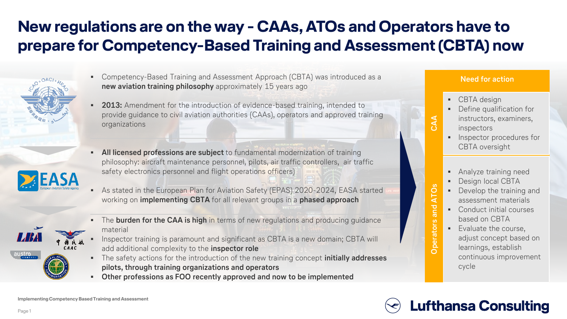# **New regulations are on the way - CAAs, ATOs and Operators have to prepare for Competency-Based Training and Assessment (CBTA) now**



- Competency-Based Training and Assessment Approach (CBTA) was introduced as a **new aviation training philosophy** approximately 15 years ago
- **2013:** Amendment for the introduction of evidence-based training, intended to provide guidance to civil aviation authorities (CAAs), operators and approved training organizations
- All licensed professions are subject to fundamental modernization of training philosophy: aircraft maintenance personnel, pilots, air traffic controllers, air traffic safety electronics personnel and flight operations officers)
- As stated in the European Plan for Aviation Safety (EPAS) 2020-2024, EASA started working on **implementing CBTA** for all relevant groups in a **phased approach**
- The **burden for the CAA is high** in terms of new regulations and producing quidance material
- Inspector training is paramount and significant as CBTA is a new domain; CBTA will add additional complexity to the **inspector role**
- The safety actions for the introduction of the new training concept **initially addresses pilots, through training organizations and operators**
- **Other professions as FOO recently approved and now to be implemented**

### **Need for action**

■ CBTA design

**CAA**

**Operators and ATOs**

**Operators and ATOs** 

- Define qualification for instructors, examiners, inspectors
- **·** Inspector procedures for CBTA oversight
- **•** Analyze training need
- Design local CBTA
- Develop the training and assessment materials
- Conduct initial courses based on CBTA
- Evaluate the course, adjust concept based on learnings, establish continuous improvement cycle

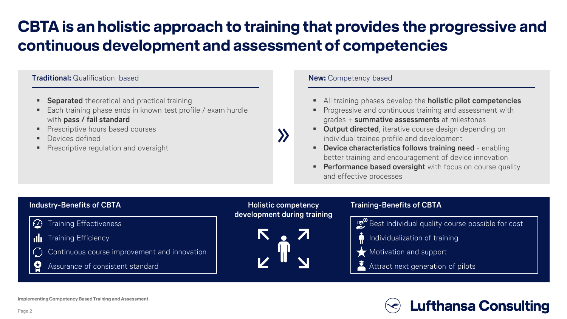## **CBTA is an holistic approach to training that provides the progressive and continuous development and assessment of competencies**

### **Traditional:** Qualification based **New: Competency based New: Competency based**

- **Separated** theoretical and practical training
- Each training phase ends in known test profile / exam hurdle with **pass / fail standard**
- Prescriptive hours based courses
- Devices defined
- **•** Prescriptive regulation and oversight

- All training phases develop the **holistic pilot competencies**
- Progressive and continuous training and assessment with grades + **summative assessments** at milestones
- **Output directed**, iterative course design depending on individual trainee profile and development
- **Device characteristics follows training need**  enabling better training and encouragement of device innovation
- **Performance based oversight** with focus on course quality and effective processes

### **Industry-Benefits of CBTA Holistic competency Training-Benefits of CBTA development during training**Best individual quality course possible for cost  $\omega$ Training Effectiveness Training Efficiency Individualization of training uh. Continuous course improvement and innovation **Motivation and support** ပ္ခ Assurance of consistent standard Attract next generation of pilots

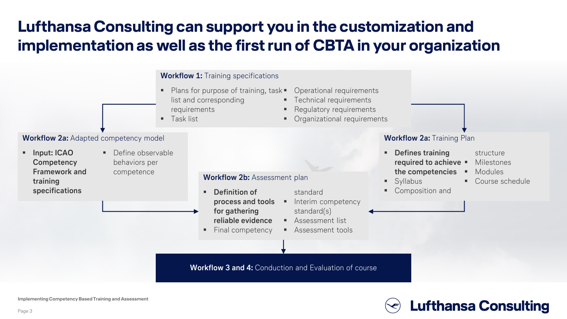## **Lufthansa Consulting can support you in the customization and implementation as well as the first run of CBTA in your organization**



**Lufthansa Consulting** 

**Implementing Competency Based Training and Assessment**